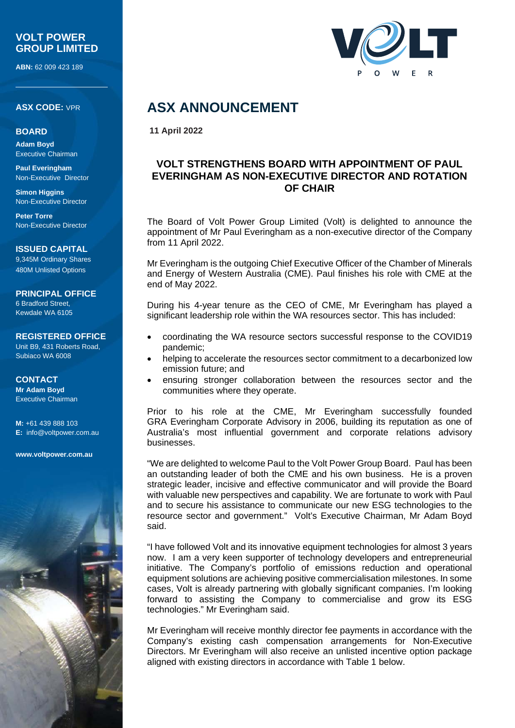## **VOLT POWER GROUP LIMITED**

**ABN:** 62 009 423 189

**ASX CODE:** VPR

#### **BOARD**

**Adam Boyd Executive Chairman** 

**Paul Everingham** Non-Executive Director

**Simon Higgins** Non-Executive Director

**Peter Torre** Non-Executive Director

**ISSUED CAPITAL** 9,345M Ordinary Shares 480M Unlisted Options

**PRINCIPAL OFFICE** 6 Bradford Street, Kewdale WA 6105

**REGISTERED OFFICE** Unit B9, 431 Roberts Road, Subiaco WA 6008

**CONTACT Mr Adam Boyd** Executive Chairman

**M:** +61 439 888 103 **E:** [info@voltpower.com.au](mailto:info@voltpower.com.au)

**[www.voltpower.com.au](http://www.voltpower.com.au/)**



# **ASX ANNOUNCEMENT**

**11 April 2022**

# **VOLT STRENGTHENS BOARD WITH APPOINTMENT OF PAUL EVERINGHAM AS NON-EXECUTIVE DIRECTOR AND ROTATION OF CHAIR**

The Board of Volt Power Group Limited (Volt) is delighted to announce the appointment of Mr Paul Everingham as a non-executive director of the Company from 11 April 2022.

Mr Everingham is the outgoing Chief Executive Officer of the Chamber of Minerals and Energy of Western Australia (CME). Paul finishes his role with CME at the end of May 2022.

During his 4-year tenure as the CEO of CME, Mr Everingham has played a significant leadership role within the WA resources sector. This has included:

- coordinating the WA resource sectors successful response to the COVID19 pandemic;
- helping to accelerate the resources sector commitment to a decarbonized low emission future; and
- ensuring stronger collaboration between the resources sector and the communities where they operate.

Prior to his role at the CME, Mr Everingham successfully founded GRA Everingham Corporate Advisory in 2006, building its reputation as one of Australia's most influential government and corporate relations advisory businesses.

"We are delighted to welcome Paul to the Volt Power Group Board. Paul has been an outstanding leader of both the CME and his own business. He is a proven strategic leader, incisive and effective communicator and will provide the Board with valuable new perspectives and capability. We are fortunate to work with Paul and to secure his assistance to communicate our new ESG technologies to the resource sector and government." Volt's Executive Chairman, Mr Adam Boyd said.

"I have followed Volt and its innovative equipment technologies for almost 3 years now. I am a very keen supporter of technology developers and entrepreneurial initiative. The Company's portfolio of emissions reduction and operational equipment solutions are achieving positive commercialisation milestones. In some cases, Volt is already partnering with globally significant companies. I'm looking forward to assisting the Company to commercialise and grow its ESG technologies." Mr Everingham said.

Mr Everingham will receive monthly director fee payments in accordance with the Company's existing cash compensation arrangements for Non-Executive Directors. Mr Everingham will also receive an unlisted incentive option package aligned with existing directors in accordance with Table 1 below.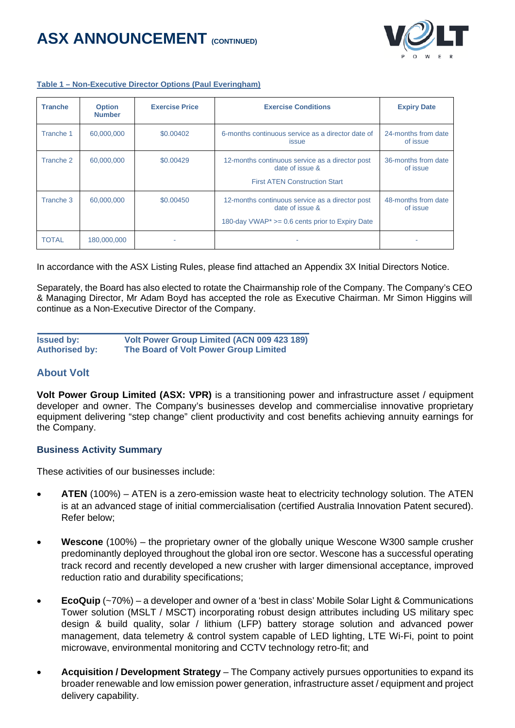

#### **Table 1 – Non-Executive Director Options (Paul Everingham)**

| <b>Tranche</b> | <b>Option</b><br><b>Number</b> | <b>Exercise Price</b> | <b>Exercise Conditions</b>                                                                                                          | <b>Expiry Date</b>              |
|----------------|--------------------------------|-----------------------|-------------------------------------------------------------------------------------------------------------------------------------|---------------------------------|
| Tranche 1      | 60,000,000                     | \$0,00402             | 6-months continuous service as a director date of<br><i>issue</i>                                                                   | 24-months from date<br>of issue |
| Tranche 2      | 60,000,000                     | \$0.00429             | 12-months continuous service as a director post<br>date of issue &<br><b>First ATEN Construction Start</b>                          | 36-months from date<br>of issue |
| Tranche 3      | 60,000,000                     | \$0,00450             | 12-months continuous service as a director post<br>date of issue &<br>180-day VWAP <sup>*</sup> $>= 0.6$ cents prior to Expiry Date | 48-months from date<br>of issue |
| <b>TOTAL</b>   | 180,000,000                    |                       |                                                                                                                                     |                                 |

In accordance with the ASX Listing Rules, please find attached an Appendix 3X Initial Directors Notice.

Separately, the Board has also elected to rotate the Chairmanship role of the Company. The Company's CEO & Managing Director, Mr Adam Boyd has accepted the role as Executive Chairman. Mr Simon Higgins will continue as a Non-Executive Director of the Company.

| <b>Issued by:</b>     | Volt Power Group Limited (ACN 009 423 189) |
|-----------------------|--------------------------------------------|
| <b>Authorised by:</b> | The Board of Volt Power Group Limited      |

# **About Volt**

**Volt Power Group Limited (ASX: VPR)** is a transitioning power and infrastructure asset / equipment developer and owner. The Company's businesses develop and commercialise innovative proprietary equipment delivering "step change" client productivity and cost benefits achieving annuity earnings for the Company.

## **Business Activity Summary**

These activities of our businesses include:

- **ATEN** (100%) ATEN is a zero-emission waste heat to electricity technology solution. The ATEN is at an advanced stage of initial commercialisation (certified Australia Innovation Patent secured). Refer below;
- **Wescone** (100%) the proprietary owner of the globally unique Wescone W300 sample crusher predominantly deployed throughout the global iron ore sector. Wescone has a successful operating track record and recently developed a new crusher with larger dimensional acceptance, improved reduction ratio and durability specifications;
- **EcoQuip** (~70%) a developer and owner of a 'best in class' Mobile Solar Light & Communications Tower solution (MSLT / MSCT) incorporating robust design attributes including US military spec design & build quality, solar / lithium (LFP) battery storage solution and advanced power management, data telemetry & control system capable of LED lighting, LTE Wi-Fi, point to point microwave, environmental monitoring and CCTV technology retro-fit; and
- **Acquisition / Development Strategy** The Company actively pursues opportunities to expand its broader renewable and low emission power generation, infrastructure asset / equipment and project delivery capability.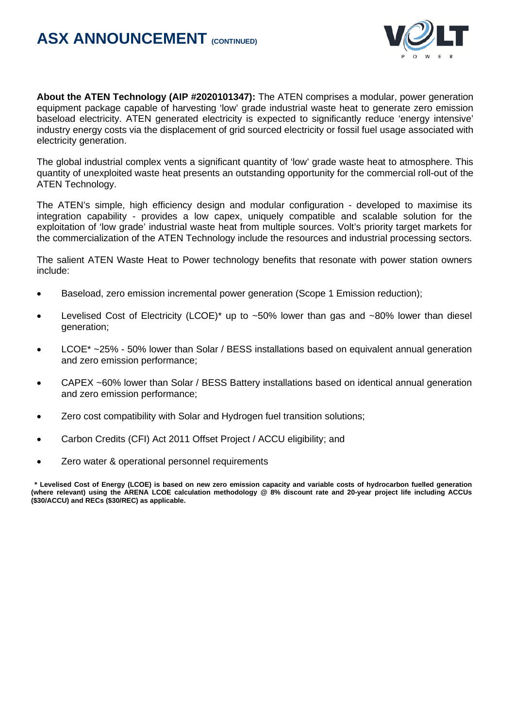

**About the ATEN Technology (AIP #2020101347):** The ATEN comprises a modular, power generation equipment package capable of harvesting 'low' grade industrial waste heat to generate zero emission baseload electricity. ATEN generated electricity is expected to significantly reduce 'energy intensive' industry energy costs via the displacement of grid sourced electricity or fossil fuel usage associated with electricity generation.

The global industrial complex vents a significant quantity of 'low' grade waste heat to atmosphere. This quantity of unexploited waste heat presents an outstanding opportunity for the commercial roll-out of the ATEN Technology.

The ATEN's simple, high efficiency design and modular configuration - developed to maximise its integration capability - provides a low capex, uniquely compatible and scalable solution for the exploitation of 'low grade' industrial waste heat from multiple sources. Volt's priority target markets for the commercialization of the ATEN Technology include the resources and industrial processing sectors.

The salient ATEN Waste Heat to Power technology benefits that resonate with power station owners include:

- Baseload, zero emission incremental power generation (Scope 1 Emission reduction);
- Levelised Cost of Electricity (LCOE)\* up to  $~50\%$  lower than gas and  $~80\%$  lower than diesel generation;
- LCOE\* ~25% 50% lower than Solar / BESS installations based on equivalent annual generation and zero emission performance;
- CAPEX ~60% lower than Solar / BESS Battery installations based on identical annual generation and zero emission performance;
- Zero cost compatibility with Solar and Hydrogen fuel transition solutions;
- Carbon Credits (CFI) Act 2011 Offset Project / ACCU eligibility; and
- Zero water & operational personnel requirements

**\* Levelised Cost of Energy (LCOE) is based on new zero emission capacity and variable costs of hydrocarbon fuelled generation (where relevant) using the ARENA LCOE calculation methodology @ 8% discount rate and 20-year project life including ACCUs (\$30/ACCU) and RECs (\$30/REC) as applicable.**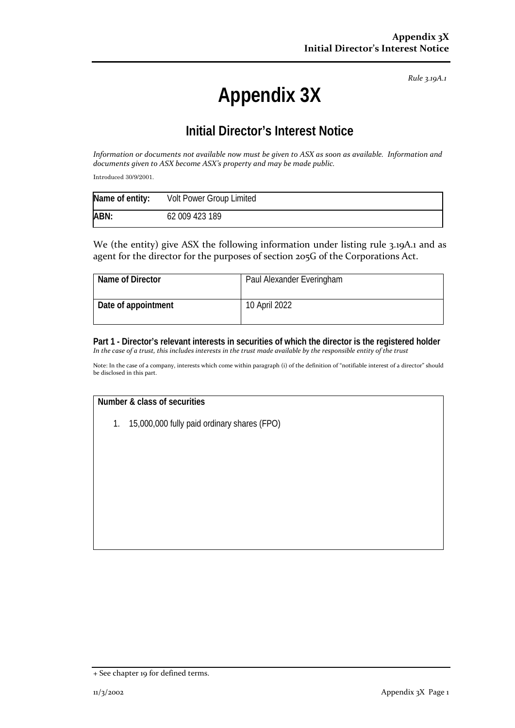*Rule 3.19A.1*

# **Appendix 3X**

# **Initial Director's Interest Notice**

*Information or documents not available now must be given to ASX as soon as available. Information and documents given to ASX become ASX's property and may be made public.*

Introduced 30/9/2001.

| Name of entity: | Volt Power Group Limited |
|-----------------|--------------------------|
| ABN:            | 62 009 423 189           |

We (the entity) give ASX the following information under listing rule 3.19A.1 and as agent for the director for the purposes of section 205G of the Corporations Act.

| Name of Director    | Paul Alexander Everingham |
|---------------------|---------------------------|
| Date of appointment | 10 April 2022             |

**Part 1 - Director's relevant interests in securities of which the director is the registered holder** *In the case of a trust, this includes interests in the trust made available by the responsible entity of the trust*

Note: In the case of a company, interests which come within paragraph (i) of the definition of "notifiable interest of a director" should be disclosed in this part.

#### **Number & class of securities**

1. 15,000,000 fully paid ordinary shares (FPO)

<sup>+</sup> See chapter 19 for defined terms.